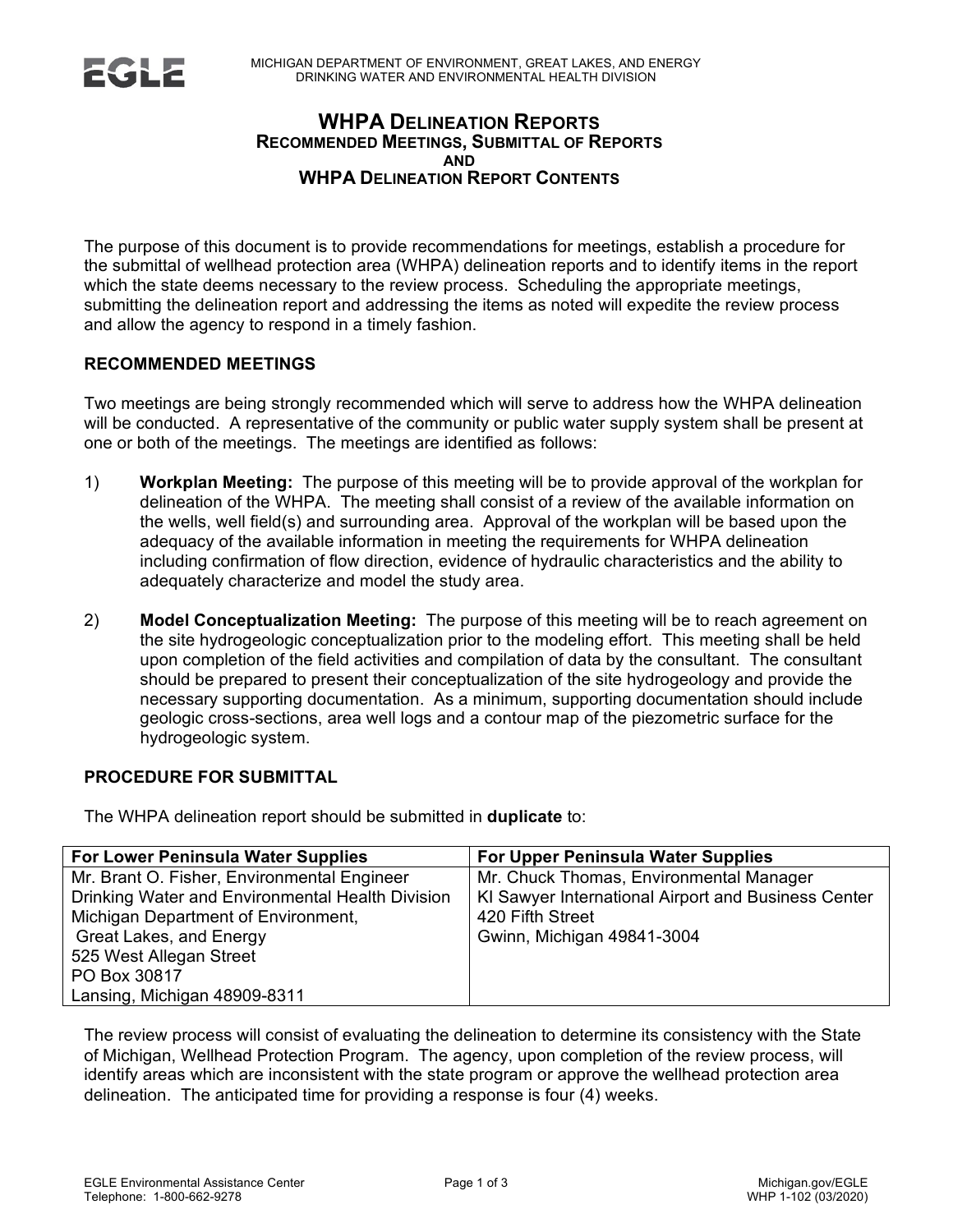### **WHPA DELINEATION REPORTS RECOMMENDED MEETINGS, SUBMITTAL OF REPORTS AND WHPA DELINEATION REPORT CONTENTS**

The purpose of this document is to provide recommendations for meetings, establish a procedure for the submittal of wellhead protection area (WHPA) delineation reports and to identify items in the report which the state deems necessary to the review process. Scheduling the appropriate meetings, submitting the delineation report and addressing the items as noted will expedite the review process and allow the agency to respond in a timely fashion.

### **RECOMMENDED MEETINGS**

Two meetings are being strongly recommended which will serve to address how the WHPA delineation will be conducted. A representative of the community or public water supply system shall be present at one or both of the meetings. The meetings are identified as follows:

- 1) **Workplan Meeting:** The purpose of this meeting will be to provide approval of the workplan for delineation of the WHPA. The meeting shall consist of a review of the available information on the wells, well field(s) and surrounding area. Approval of the workplan will be based upon the adequacy of the available information in meeting the requirements for WHPA delineation including confirmation of flow direction, evidence of hydraulic characteristics and the ability to adequately characterize and model the study area.
- 2) **Model Conceptualization Meeting:** The purpose of this meeting will be to reach agreement on the site hydrogeologic conceptualization prior to the modeling effort. This meeting shall be held upon completion of the field activities and compilation of data by the consultant. The consultant should be prepared to present their conceptualization of the site hydrogeology and provide the necessary supporting documentation. As a minimum, supporting documentation should include geologic cross-sections, area well logs and a contour map of the piezometric surface for the hydrogeologic system.

# **PROCEDURE FOR SUBMITTAL**

The WHPA delineation report should be submitted in **duplicate** to:

| <b>For Lower Peninsula Water Supplies</b>        | For Upper Peninsula Water Supplies                  |
|--------------------------------------------------|-----------------------------------------------------|
| Mr. Brant O. Fisher, Environmental Engineer      | Mr. Chuck Thomas, Environmental Manager             |
| Drinking Water and Environmental Health Division | KI Sawyer International Airport and Business Center |
| Michigan Department of Environment,              | 420 Fifth Street                                    |
| Great Lakes, and Energy                          | Gwinn, Michigan 49841-3004                          |
| 525 West Allegan Street                          |                                                     |
| PO Box 30817                                     |                                                     |
| Lansing, Michigan 48909-8311                     |                                                     |

The review process will consist of evaluating the delineation to determine its consistency with the State of Michigan, Wellhead Protection Program. The agency, upon completion of the review process, will identify areas which are inconsistent with the state program or approve the wellhead protection area delineation. The anticipated time for providing a response is four (4) weeks.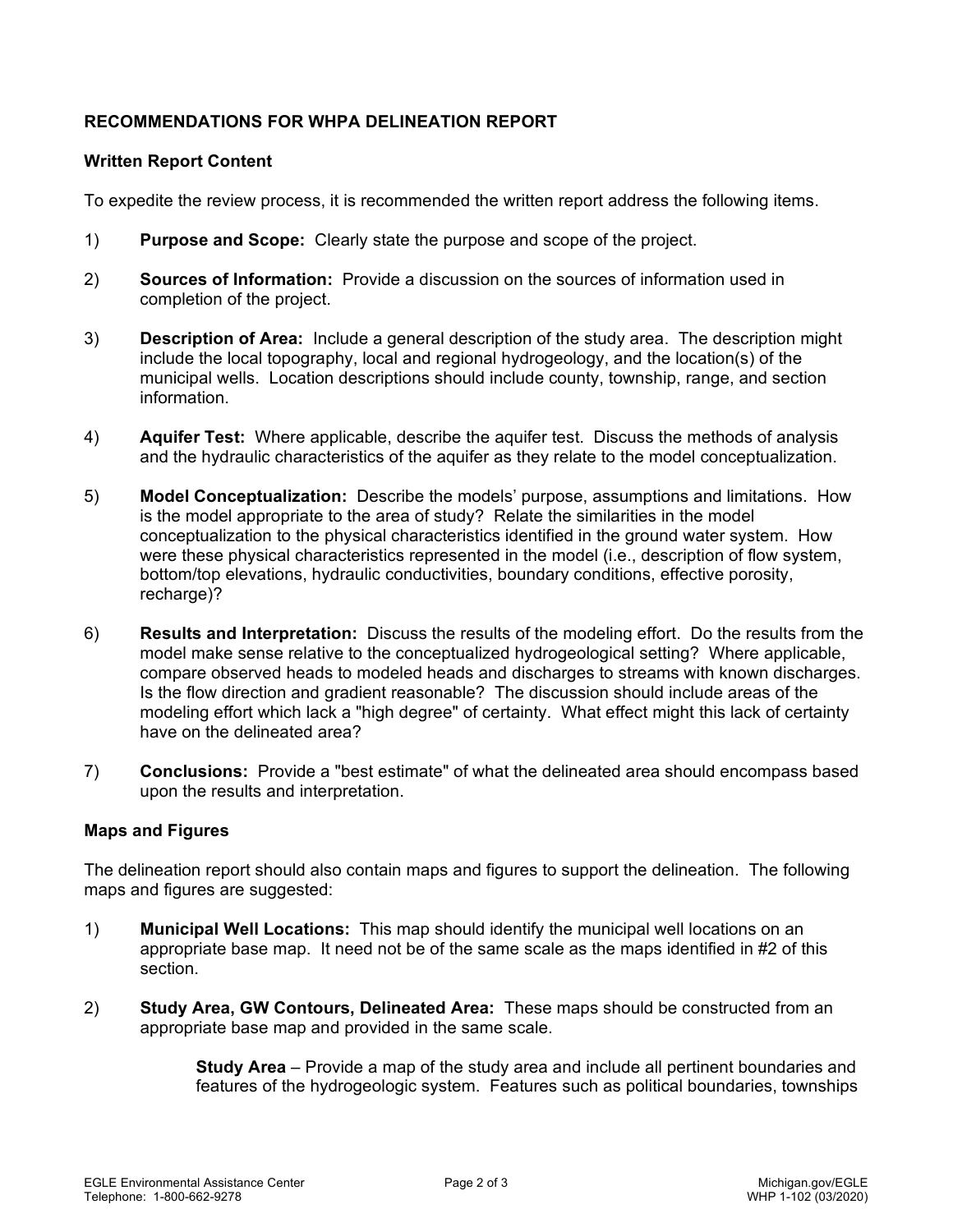## **RECOMMENDATIONS FOR WHPA DELINEATION REPORT**

### **Written Report Content**

To expedite the review process, it is recommended the written report address the following items.

- 1) **Purpose and Scope:** Clearly state the purpose and scope of the project.
- 2) **Sources of Information:** Provide a discussion on the sources of information used in completion of the project.
- 3) **Description of Area:** Include a general description of the study area. The description might include the local topography, local and regional hydrogeology, and the location(s) of the municipal wells. Location descriptions should include county, township, range, and section information.
- 4) **Aquifer Test:** Where applicable, describe the aquifer test. Discuss the methods of analysis and the hydraulic characteristics of the aquifer as they relate to the model conceptualization.
- 5) **Model Conceptualization:** Describe the models' purpose, assumptions and limitations. How is the model appropriate to the area of study? Relate the similarities in the model conceptualization to the physical characteristics identified in the ground water system. How were these physical characteristics represented in the model (i.e., description of flow system, bottom/top elevations, hydraulic conductivities, boundary conditions, effective porosity, recharge)?
- 6) **Results and Interpretation:** Discuss the results of the modeling effort. Do the results from the model make sense relative to the conceptualized hydrogeological setting? Where applicable, compare observed heads to modeled heads and discharges to streams with known discharges. Is the flow direction and gradient reasonable? The discussion should include areas of the modeling effort which lack a "high degree" of certainty. What effect might this lack of certainty have on the delineated area?
- 7) **Conclusions:** Provide a "best estimate" of what the delineated area should encompass based upon the results and interpretation.

### **Maps and Figures**

The delineation report should also contain maps and figures to support the delineation. The following maps and figures are suggested:

- 1) **Municipal Well Locations:** This map should identify the municipal well locations on an appropriate base map. It need not be of the same scale as the maps identified in #2 of this section.
- 2) **Study Area, GW Contours, Delineated Area:** These maps should be constructed from an appropriate base map and provided in the same scale.

**Study Area** – Provide a map of the study area and include all pertinent boundaries and features of the hydrogeologic system. Features such as political boundaries, townships